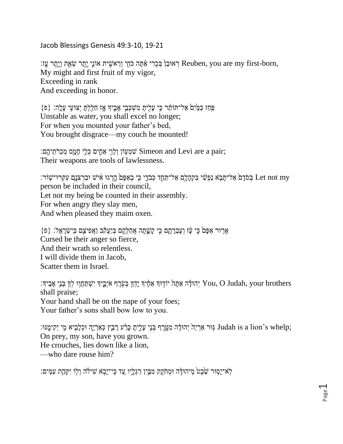Jacob Blessings Genesis 49:3-10, 19-21

, רְ Reuben, you are my first-born, רְ אוּבֵן בְּכְרִי אֲתָּה כֹּחָי וְרֵאשֶׁית אוֹנֵי יֵתֲר שָׂאֶת וְיֵתֶר עָ My might and first fruit of my vigor, Exceeding in rank And exceeding in honor.

 $\{$ פְּחַז כַּמַּיָּם אֲל־תּוֹתֵ֫ר כֵּי עַלִיתַ מִשְׁכָּבֵי אָבִידְ אֵז חָלַלְתַּ יְצוּעֵי עַלֲה׃  $\{e\}$ Unstable as water, you shall excel no longer; For when you mounted your father's bed, You brought disgrace—my couch he mounted!

;pair; שְׁמְעָּוֹן וְלֵוֵי אֲחֵים כְּלֵי חָמֵּם מְכָרֹתֵיהֱם"<br>
Simeon and Levi are a pair Their weapons are tools of lawlessness.

יָהַהָּלָם אַל־תֲחָד כִּבֹדֵי כִּי בְאַפָּם הָרְגוּ אִישׁ וּבְרְצֹנָם עִקְרוּ־שָׁוֹר: Et not my person be included in their council, Let not my being be counted in their assembly. For when angry they slay men, And when pleased they maim oxen.

 $\{e\}$  אֶרוּר אַפָּםׂ כִּי עַׁז וְעֵבְרָתָם כִּי קַשֲׁתָה אֲחַלְקֵם בְּיַעֲקָב וַאֲפִיצֵם בְּיִשְׂרָאֱל:  $\{e\}$ Cursed be their anger so fierce, And their wrath so relentless. I will divide them in Jacob, Scatter them in Israel.

יִהוּדָָּה אַתָּה יוֹדְוּךְ אַחֶ֫יִךְ יָהִיְבֵיךְ יִשְׁתַּחֵוִוּ לְדָּ בְּנֵי אָבִיךְ׃ You, O Judah, your brothers shall praise; Your hand shall be on the nape of your foes; Your father's sons shall bow low to you.

;שְׁנֵוּ: sa lion's whelp; גַּוּר אַרְיֵהְ יְהִידָּה מְטֶרֶף בְּנֵי עַלִיתַ כָּרָעֵ רָבְץ כְּאַרְיֵהָ וּכְלָבִיא מֵי On prey, my son, have you grown. He crouches, lies down like a lion, —who dare rouse him?

ֹּלְא־יַסְוּר שֶׁבָטׂ מֵיהוּדַּׁה וּמְתֹקֵק מִבֵּין רַגְלִיו עֲד כֵּי־יַבְא שִׁילֹה וְלִוֹ יִקְהֵת עַמֵּים: